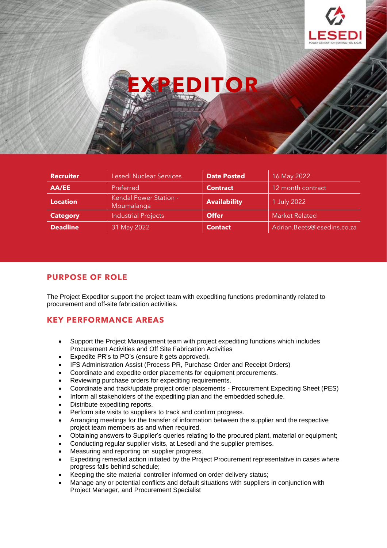



**EXPLORE** 

# **PURPOSE OF ROLE**

The Project Expeditor support the project team with expediting functions predominantly related to procurement and off-site fabrication activities.

# **KEY PERFORMANCE AREAS**

- Support the Project Management team with project expediting functions which includes Procurement Activities and Off Site Fabrication Activities
- Expedite PR's to PO's (ensure it gets approved).
- IFS Administration Assist (Process PR, Purchase Order and Receipt Orders)
- Coordinate and expedite order placements for equipment procurements.
- Reviewing purchase orders for expediting requirements.
- Coordinate and track/update project order placements Procurement Expediting Sheet (PES)
- Inform all stakeholders of the expediting plan and the embedded schedule.
- Distribute expediting reports.
- Perform site visits to suppliers to track and confirm progress.
- Arranging meetings for the transfer of information between the supplier and the respective project team members as and when required.
- Obtaining answers to Supplier's queries relating to the procured plant, material or equipment;
- Conducting regular supplier visits, at Lesedi and the supplier premises.
- Measuring and reporting on supplier progress.
- Expediting remedial action initiated by the Project Procurement representative in cases where progress falls behind schedule;
- Keeping the site material controller informed on order delivery status;
- Manage any or potential conflicts and default situations with suppliers in conjunction with Project Manager, and Procurement Specialist